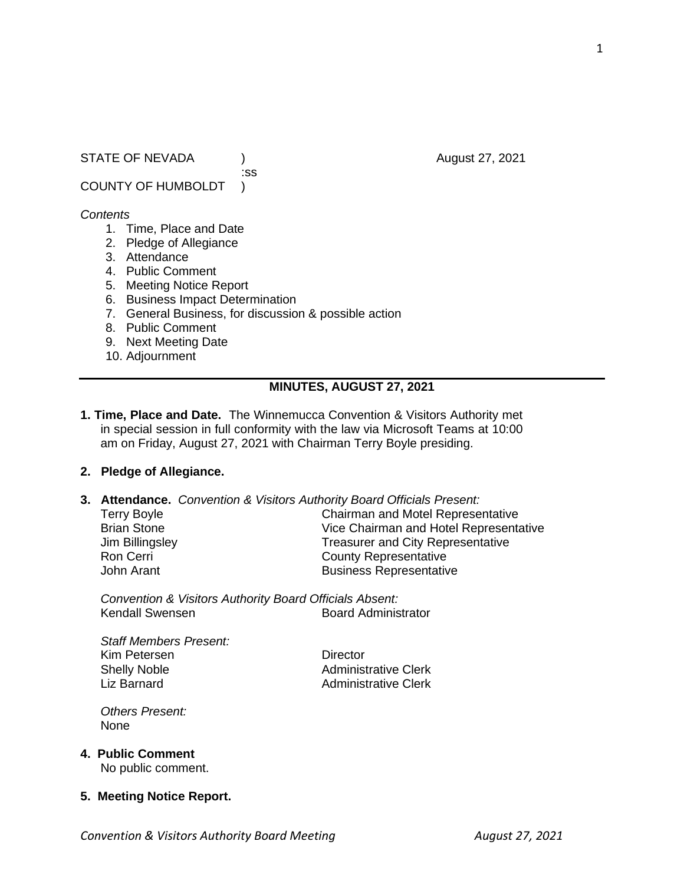STATE OF NEVADA (a) and the contract of the contract of the contract of the contract of the contract of the contract of the contract of the contract of the contract of the contract of the contract of the contract of the co

COUNTY OF HUMBOLDT )

#### *Contents*

- 1. Time, Place and Date
- 2. Pledge of Allegiance
- 3. Attendance
- 4. Public Comment
- 5. Meeting Notice Report
- 6. Business Impact Determination
- 7. General Business, for discussion & possible action

:ss

- 8. Public Comment
- 9. Next Meeting Date
- 10. Adjournment

## **MINUTES, AUGUST 27, 2021**

**1. Time, Place and Date.** The Winnemucca Convention & Visitors Authority met in special session in full conformity with the law via Microsoft Teams at 10:00 am on Friday, August 27, 2021 with Chairman Terry Boyle presiding.

## **2. Pledge of Allegiance.**

**3. Attendance.** *Convention & Visitors Authority Board Officials Present:*

| <b>Terry Boyle</b> | <b>Chairman and Motel Representative</b> |
|--------------------|------------------------------------------|
| <b>Brian Stone</b> | Vice Chairman and Hotel Representative   |
| Jim Billingsley    | <b>Treasurer and City Representative</b> |
| Ron Cerri          | <b>County Representative</b>             |
| John Arant         | <b>Business Representative</b>           |
|                    |                                          |

*Convention & Visitors Authority Board Officials Absent:* **Board Administrator** 

*Staff Members Present:* Kim Petersen **Director** Shelly Noble **Administrative Clerk** Liz Barnard **Administrative Clerk** 

*Others Present:* None

### **4. Public Comment**

No public comment.

### **5. Meeting Notice Report.**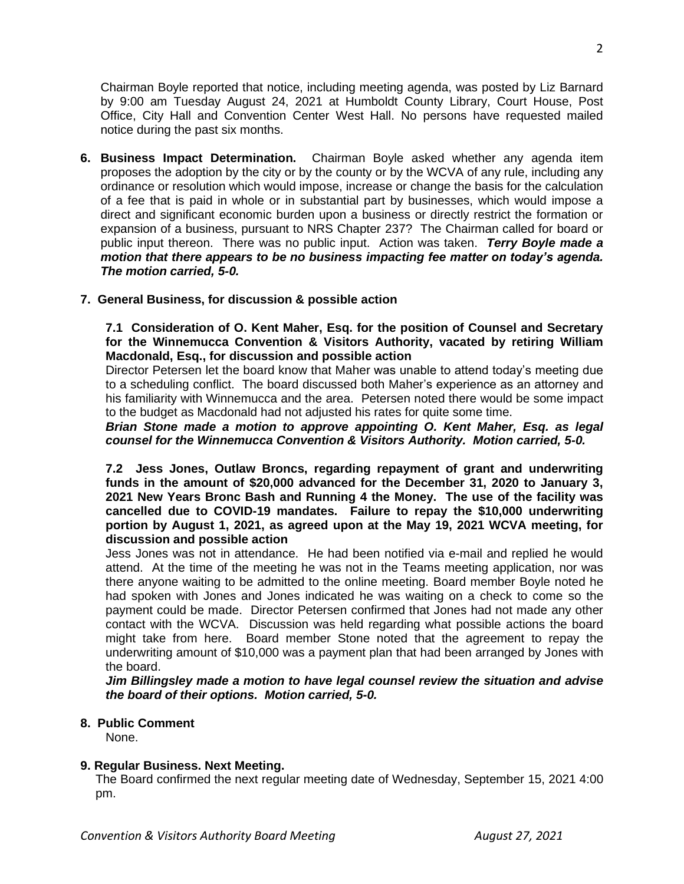Chairman Boyle reported that notice, including meeting agenda, was posted by Liz Barnard by 9:00 am Tuesday August 24, 2021 at Humboldt County Library, Court House, Post Office, City Hall and Convention Center West Hall. No persons have requested mailed notice during the past six months.

**6. Business Impact Determination.** Chairman Boyle asked whether any agenda item proposes the adoption by the city or by the county or by the WCVA of any rule, including any ordinance or resolution which would impose, increase or change the basis for the calculation of a fee that is paid in whole or in substantial part by businesses, which would impose a direct and significant economic burden upon a business or directly restrict the formation or expansion of a business, pursuant to NRS Chapter 237? The Chairman called for board or public input thereon. There was no public input. Action was taken. *Terry Boyle made a motion that there appears to be no business impacting fee matter on today's agenda. The motion carried, 5-0.* 

## **7. General Business, for discussion & possible action**

**7.1 Consideration of O. Kent Maher, Esq. for the position of Counsel and Secretary for the Winnemucca Convention & Visitors Authority, vacated by retiring William Macdonald, Esq., for discussion and possible action**

Director Petersen let the board know that Maher was unable to attend today's meeting due to a scheduling conflict. The board discussed both Maher's experience as an attorney and his familiarity with Winnemucca and the area. Petersen noted there would be some impact to the budget as Macdonald had not adjusted his rates for quite some time.

*Brian Stone made a motion to approve appointing O. Kent Maher, Esq. as legal counsel for the Winnemucca Convention & Visitors Authority. Motion carried, 5-0.*

**7.2 Jess Jones, Outlaw Broncs, regarding repayment of grant and underwriting funds in the amount of \$20,000 advanced for the December 31, 2020 to January 3, 2021 New Years Bronc Bash and Running 4 the Money. The use of the facility was cancelled due to COVID-19 mandates. Failure to repay the \$10,000 underwriting portion by August 1, 2021, as agreed upon at the May 19, 2021 WCVA meeting, for discussion and possible action**

Jess Jones was not in attendance. He had been notified via e-mail and replied he would attend. At the time of the meeting he was not in the Teams meeting application, nor was there anyone waiting to be admitted to the online meeting. Board member Boyle noted he had spoken with Jones and Jones indicated he was waiting on a check to come so the payment could be made. Director Petersen confirmed that Jones had not made any other contact with the WCVA. Discussion was held regarding what possible actions the board might take from here. Board member Stone noted that the agreement to repay the underwriting amount of \$10,000 was a payment plan that had been arranged by Jones with the board.

*Jim Billingsley made a motion to have legal counsel review the situation and advise the board of their options. Motion carried, 5-0.*

### **8. Public Comment**

None.

## **9. Regular Business. Next Meeting.**

The Board confirmed the next regular meeting date of Wednesday, September 15, 2021 4:00 pm.